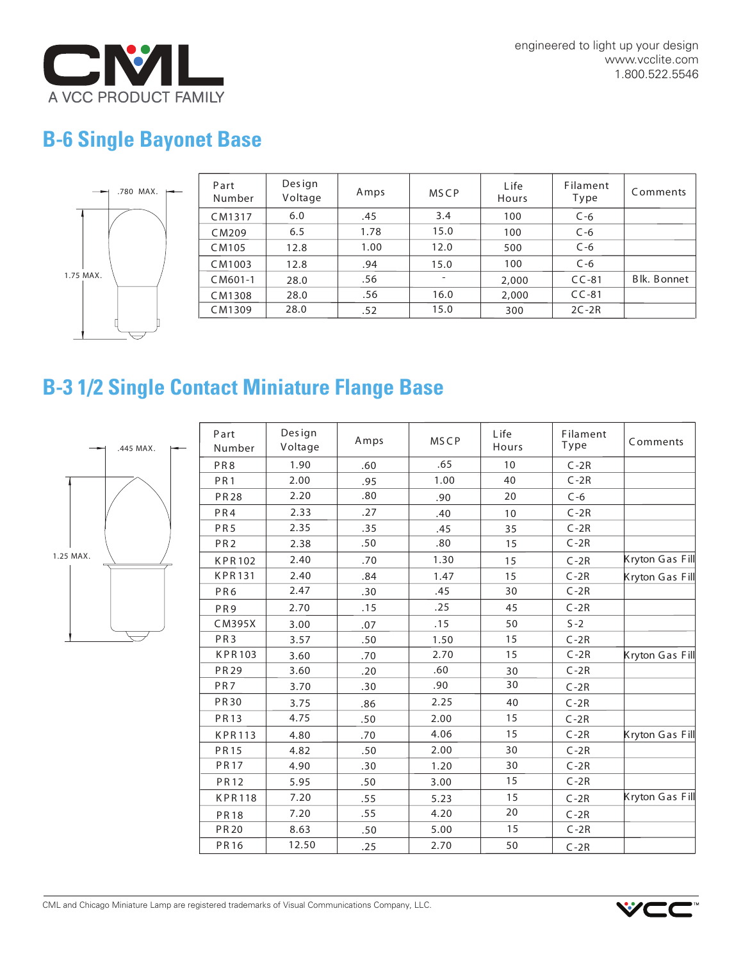

engineered to light up your design www.vcclite.com 1.800.522.5546

## **B-6 Single Bayonet Base**



| Part<br>Number | Design<br>Voltage | Amps | <b>MSCP</b> | L ife<br>Hours | Filament<br>Type | Comments    |
|----------------|-------------------|------|-------------|----------------|------------------|-------------|
| CM1317         | 6.0               | .45  | 3.4         | 100            | $C - 6$          |             |
| CM209          | 6.5               | 1.78 | 15.0        | 100            | $C - 6$          |             |
| CM105          | 12.8              | 1.00 | 12.0        | 500            | $C-6$            |             |
| CM1003         | 12.8              | .94  | 15.0        | 100            | $C - 6$          |             |
| CM601-1        | 28.0              | .56  |             | 2,000          | $CC-81$          | Blk. Bonnet |
| CM1308         | 28.0              | .56  | 16.0        | 2,000          | $CC-81$          |             |
| CM1309         | 28.0              | .52  | 15.0        | 300            | $2C-2R$          |             |

## **B-3 1/2 Single Contact Miniature Flange Base**



| Part<br>Number  | Design<br>Voltage | Amps | <b>MSCP</b> | Life<br>Hours | Filament<br>Type | Comments        |
|-----------------|-------------------|------|-------------|---------------|------------------|-----------------|
| PR8             | 1.90              | .60  | .65         | 10            | $C-2R$           |                 |
| PR <sub>1</sub> | 2.00              | .95  | 1.00        | 40            | $C-2R$           |                 |
| <b>PR28</b>     | 2.20              | .80  | .90         | 20            | $C - 6$          |                 |
| PR4             | 2.33              | .27  | .40         | 10            | $C-2R$           |                 |
| PR <sub>5</sub> | 2.35              | .35  | .45         | 35            | $C-2R$           |                 |
| PR <sub>2</sub> | 2.38              | .50  | .80         | 15            | $C-2R$           |                 |
| <b>KPR102</b>   | 2.40              | .70  | 1.30        | 15            | $C-2R$           | Kryton Gas Fill |
| <b>KPR131</b>   | 2.40              | .84  | 1.47        | 15            | $C-2R$           | Kryton Gas Fill |
| PR6             | 2.47              | .30  | .45         | 30            | $C-2R$           |                 |
| PR <sub>9</sub> | 2.70              | .15  | .25         | 45            | $C-2R$           |                 |
| CM395X          | 3.00              | .07  | .15         | 50            | $S - 2$          |                 |
| PR <sub>3</sub> | 3.57              | .50  | 1.50        | 15            | $C-2R$           |                 |
| <b>KPR103</b>   | 3.60              | .70  | 2.70        | 15            | $C-2R$           | Kryton Gas Fill |
| <b>PR29</b>     | 3.60              | .20  | .60         | 30            | $C-2R$           |                 |
| PR <sub>7</sub> | 3.70              | .30  | .90         | 30            | $C-2R$           |                 |
| <b>PR30</b>     | 3.75              | .86  | 2.25        | 40            | $C-2R$           |                 |
| <b>PR13</b>     | 4.75              | .50  | 2.00        | 15            | $C-2R$           |                 |
| <b>KPR113</b>   | 4.80              | .70  | 4.06        | 15            | $C-2R$           | Kryton Gas Fill |
| <b>PR15</b>     | 4.82              | .50  | 2.00        | 30            | $C-2R$           |                 |
| <b>PR17</b>     | 4.90              | .30  | 1.20        | 30            | $C-2R$           |                 |
| <b>PR12</b>     | 5.95              | .50  | 3.00        | 15            | $C-2R$           |                 |
| <b>KPR118</b>   | 7.20              | .55  | 5.23        | 15            | $C-2R$           | Kryton Gas Fill |
| <b>PR18</b>     | 7.20              | .55  | 4.20        | 20            | $C-2R$           |                 |
| <b>PR20</b>     | 8.63              | .50  | 5.00        | 15            | $C-2R$           |                 |
| <b>PR16</b>     | 12.50             | .25  | 2.70        | 50            | $C-2R$           |                 |